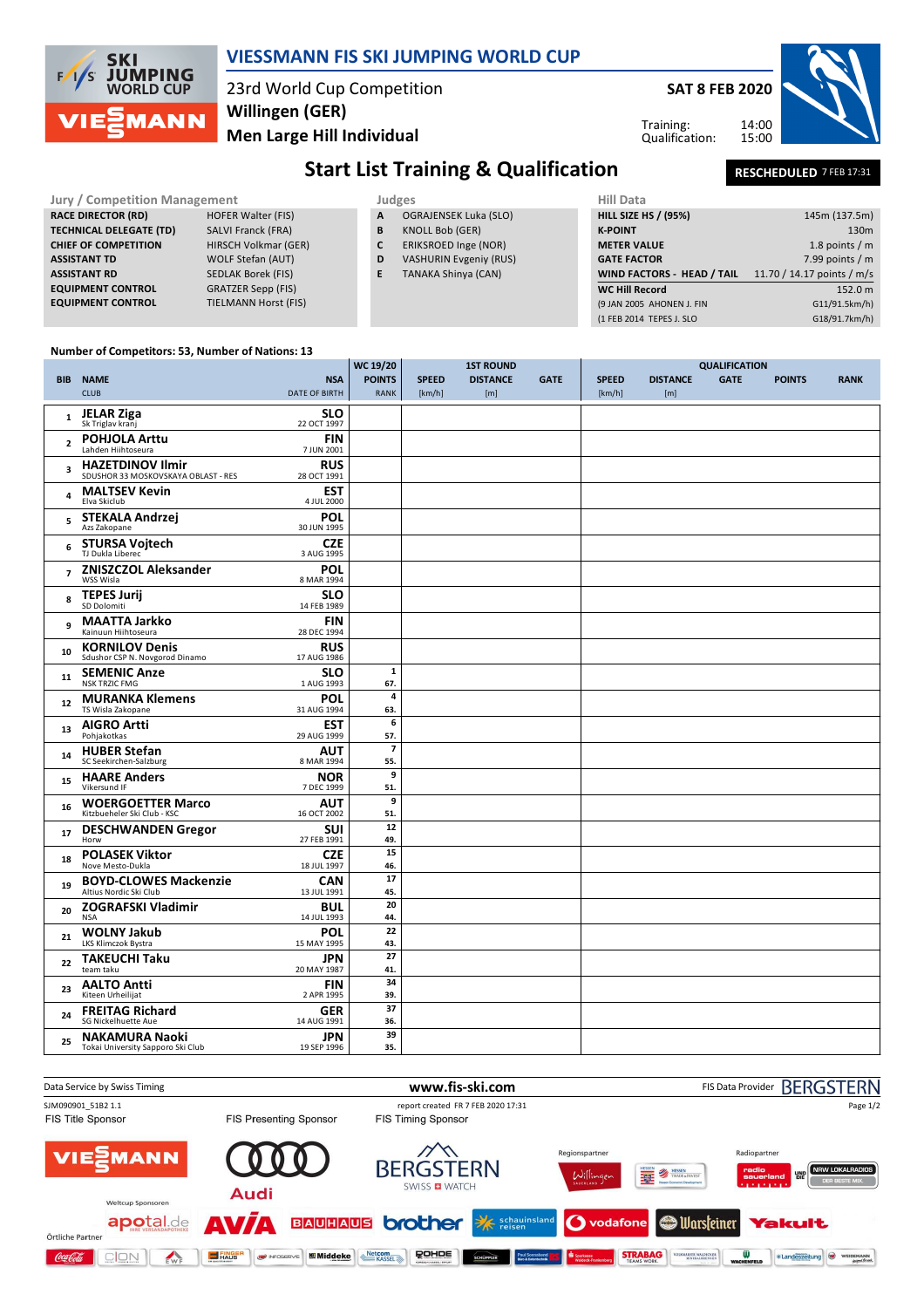



14 AUG 1991

19 SEP 1996

**25 NAKAMURA Naoki**<br>Tokai University Sapporo Ski Club **NAKAMURA Naoki**

**36.**

**35.**

**JPN 39**